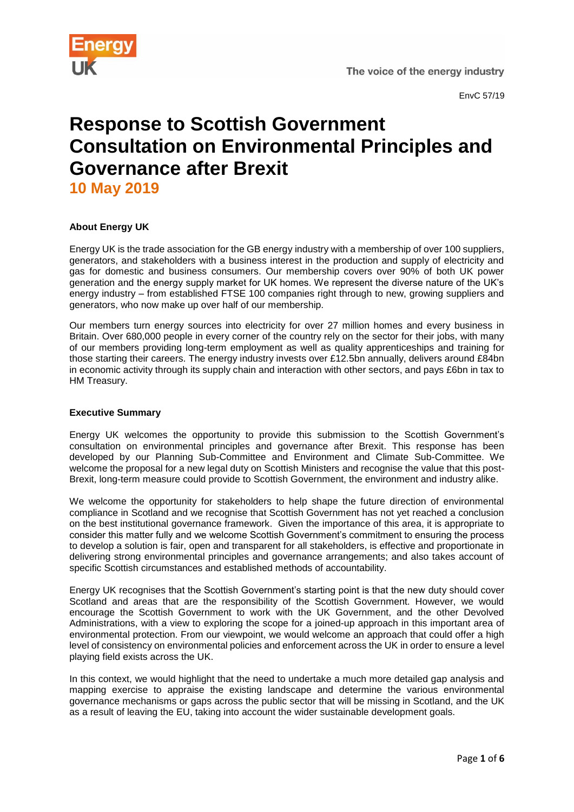

# **Response to Scottish Government Consultation on Environmental Principles and Governance after Brexit**

**10 May 2019**

# **About Energy UK**

Energy UK is the trade association for the GB energy industry with a membership of over 100 suppliers, generators, and stakeholders with a business interest in the production and supply of electricity and gas for domestic and business consumers. Our membership covers over 90% of both UK power generation and the energy supply market for UK homes. We represent the diverse nature of the UK's energy industry – from established FTSE 100 companies right through to new, growing suppliers and generators, who now make up over half of our membership.

Our members turn energy sources into electricity for over 27 million homes and every business in Britain. Over 680,000 people in every corner of the country rely on the sector for their jobs, with many of our members providing long-term employment as well as quality apprenticeships and training for those starting their careers. The energy industry invests over £12.5bn annually, delivers around £84bn in economic activity through its supply chain and interaction with other sectors, and pays £6bn in tax to HM Treasury.

## **Executive Summary**

Energy UK welcomes the opportunity to provide this submission to the Scottish Government's consultation on environmental principles and governance after Brexit. This response has been developed by our Planning Sub-Committee and Environment and Climate Sub-Committee. We welcome the proposal for a new legal duty on Scottish Ministers and recognise the value that this post-Brexit, long-term measure could provide to Scottish Government, the environment and industry alike.

We welcome the opportunity for stakeholders to help shape the future direction of environmental compliance in Scotland and we recognise that Scottish Government has not yet reached a conclusion on the best institutional governance framework. Given the importance of this area, it is appropriate to consider this matter fully and we welcome Scottish Government's commitment to ensuring the process to develop a solution is fair, open and transparent for all stakeholders, is effective and proportionate in delivering strong environmental principles and governance arrangements; and also takes account of specific Scottish circumstances and established methods of accountability.

Energy UK recognises that the Scottish Government's starting point is that the new duty should cover Scotland and areas that are the responsibility of the Scottish Government. However, we would encourage the Scottish Government to work with the UK Government, and the other Devolved Administrations, with a view to exploring the scope for a joined-up approach in this important area of environmental protection. From our viewpoint, we would welcome an approach that could offer a high level of consistency on environmental policies and enforcement across the UK in order to ensure a level playing field exists across the UK.

In this context, we would highlight that the need to undertake a much more detailed gap analysis and mapping exercise to appraise the existing landscape and determine the various environmental governance mechanisms or gaps across the public sector that will be missing in Scotland, and the UK as a result of leaving the EU, taking into account the wider sustainable development goals.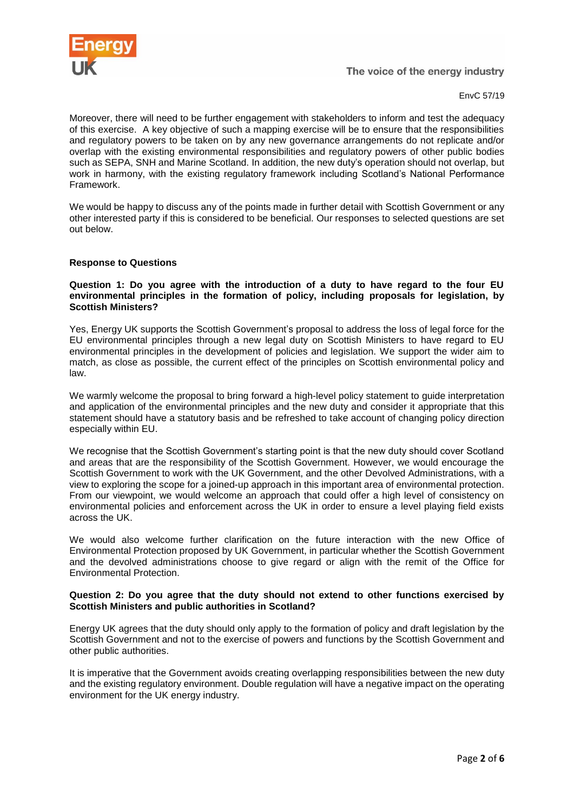

EnvC 57/19

Moreover, there will need to be further engagement with stakeholders to inform and test the adequacy of this exercise. A key objective of such a mapping exercise will be to ensure that the responsibilities and regulatory powers to be taken on by any new governance arrangements do not replicate and/or overlap with the existing environmental responsibilities and regulatory powers of other public bodies such as SEPA, SNH and Marine Scotland. In addition, the new duty's operation should not overlap, but work in harmony, with the existing regulatory framework including Scotland's National Performance Framework.

We would be happy to discuss any of the points made in further detail with Scottish Government or any other interested party if this is considered to be beneficial. Our responses to selected questions are set out below.

### **Response to Questions**

#### **Question 1: Do you agree with the introduction of a duty to have regard to the four EU environmental principles in the formation of policy, including proposals for legislation, by Scottish Ministers?**

Yes, Energy UK supports the Scottish Government's proposal to address the loss of legal force for the EU environmental principles through a new legal duty on Scottish Ministers to have regard to EU environmental principles in the development of policies and legislation. We support the wider aim to match, as close as possible, the current effect of the principles on Scottish environmental policy and law.

We warmly welcome the proposal to bring forward a high-level policy statement to guide interpretation and application of the environmental principles and the new duty and consider it appropriate that this statement should have a statutory basis and be refreshed to take account of changing policy direction especially within EU.

We recognise that the Scottish Government's starting point is that the new duty should cover Scotland and areas that are the responsibility of the Scottish Government. However, we would encourage the Scottish Government to work with the UK Government, and the other Devolved Administrations, with a view to exploring the scope for a joined-up approach in this important area of environmental protection. From our viewpoint, we would welcome an approach that could offer a high level of consistency on environmental policies and enforcement across the UK in order to ensure a level playing field exists across the UK.

We would also welcome further clarification on the future interaction with the new Office of Environmental Protection proposed by UK Government, in particular whether the Scottish Government and the devolved administrations choose to give regard or align with the remit of the Office for Environmental Protection.

#### **Question 2: Do you agree that the duty should not extend to other functions exercised by Scottish Ministers and public authorities in Scotland?**

Energy UK agrees that the duty should only apply to the formation of policy and draft legislation by the Scottish Government and not to the exercise of powers and functions by the Scottish Government and other public authorities.

It is imperative that the Government avoids creating overlapping responsibilities between the new duty and the existing regulatory environment. Double regulation will have a negative impact on the operating environment for the UK energy industry.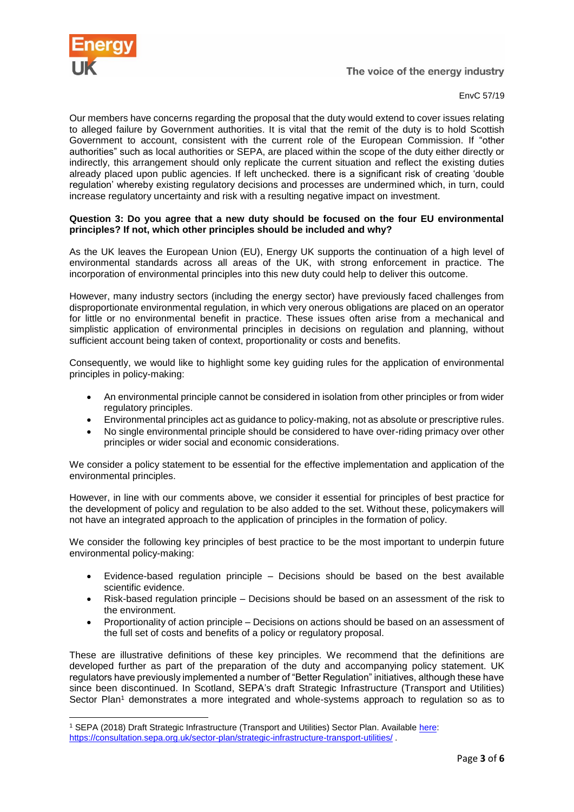

1

EnvC 57/19

Our members have concerns regarding the proposal that the duty would extend to cover issues relating to alleged failure by Government authorities. It is vital that the remit of the duty is to hold Scottish Government to account, consistent with the current role of the European Commission. If "other authorities" such as local authorities or SEPA, are placed within the scope of the duty either directly or indirectly, this arrangement should only replicate the current situation and reflect the existing duties already placed upon public agencies. If left unchecked. there is a significant risk of creating 'double regulation' whereby existing regulatory decisions and processes are undermined which, in turn, could increase regulatory uncertainty and risk with a resulting negative impact on investment.

#### **Question 3: Do you agree that a new duty should be focused on the four EU environmental principles? If not, which other principles should be included and why?**

As the UK leaves the European Union (EU), Energy UK supports the continuation of a high level of environmental standards across all areas of the UK, with strong enforcement in practice. The incorporation of environmental principles into this new duty could help to deliver this outcome.

However, many industry sectors (including the energy sector) have previously faced challenges from disproportionate environmental regulation, in which very onerous obligations are placed on an operator for little or no environmental benefit in practice. These issues often arise from a mechanical and simplistic application of environmental principles in decisions on regulation and planning, without sufficient account being taken of context, proportionality or costs and benefits.

Consequently, we would like to highlight some key guiding rules for the application of environmental principles in policy-making:

- An environmental principle cannot be considered in isolation from other principles or from wider regulatory principles.
- Environmental principles act as guidance to policy-making, not as absolute or prescriptive rules.
- No single environmental principle should be considered to have over-riding primacy over other principles or wider social and economic considerations.

We consider a policy statement to be essential for the effective implementation and application of the environmental principles.

However, in line with our comments above, we consider it essential for principles of best practice for the development of policy and regulation to be also added to the set. Without these, policymakers will not have an integrated approach to the application of principles in the formation of policy.

We consider the following key principles of best practice to be the most important to underpin future environmental policy-making:

- Evidence-based regulation principle Decisions should be based on the best available scientific evidence.
- Risk-based regulation principle Decisions should be based on an assessment of the risk to the environment.
- Proportionality of action principle Decisions on actions should be based on an assessment of the full set of costs and benefits of a policy or regulatory proposal.

These are illustrative definitions of these key principles. We recommend that the definitions are developed further as part of the preparation of the duty and accompanying policy statement. UK regulators have previously implemented a number of "Better Regulation" initiatives, although these have since been discontinued. In Scotland, SEPA's draft Strategic Infrastructure (Transport and Utilities) Sector Plan<sup>1</sup> demonstrates a more integrated and whole-systems approach to regulation so as to

<sup>1</sup> SEPA (2018) Draft Strategic Infrastructure (Transport and Utilities) Sector Plan. Available [here:](https://consultation.sepa.org.uk/sector-plan/strategic-infrastructure-transport-utilities/) <https://consultation.sepa.org.uk/sector-plan/strategic-infrastructure-transport-utilities/>.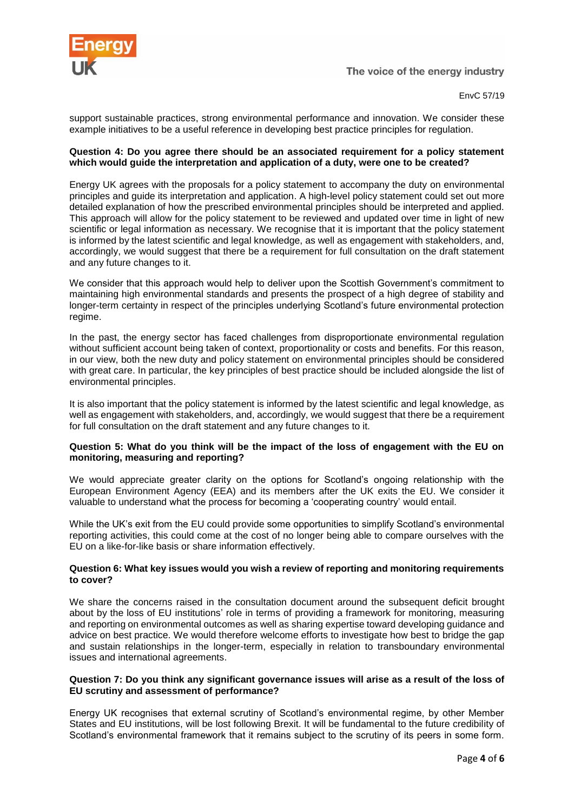

support sustainable practices, strong environmental performance and innovation. We consider these example initiatives to be a useful reference in developing best practice principles for regulation.

#### **Question 4: Do you agree there should be an associated requirement for a policy statement which would guide the interpretation and application of a duty, were one to be created?**

Energy UK agrees with the proposals for a policy statement to accompany the duty on environmental principles and guide its interpretation and application. A high-level policy statement could set out more detailed explanation of how the prescribed environmental principles should be interpreted and applied. This approach will allow for the policy statement to be reviewed and updated over time in light of new scientific or legal information as necessary. We recognise that it is important that the policy statement is informed by the latest scientific and legal knowledge, as well as engagement with stakeholders, and, accordingly, we would suggest that there be a requirement for full consultation on the draft statement and any future changes to it.

We consider that this approach would help to deliver upon the Scottish Government's commitment to maintaining high environmental standards and presents the prospect of a high degree of stability and longer-term certainty in respect of the principles underlying Scotland's future environmental protection regime.

In the past, the energy sector has faced challenges from disproportionate environmental regulation without sufficient account being taken of context, proportionality or costs and benefits. For this reason, in our view, both the new duty and policy statement on environmental principles should be considered with great care. In particular, the key principles of best practice should be included alongside the list of environmental principles.

It is also important that the policy statement is informed by the latest scientific and legal knowledge, as well as engagement with stakeholders, and, accordingly, we would suggest that there be a requirement for full consultation on the draft statement and any future changes to it.

### **Question 5: What do you think will be the impact of the loss of engagement with the EU on monitoring, measuring and reporting?**

We would appreciate greater clarity on the options for Scotland's ongoing relationship with the European Environment Agency (EEA) and its members after the UK exits the EU. We consider it valuable to understand what the process for becoming a 'cooperating country' would entail.

While the UK's exit from the EU could provide some opportunities to simplify Scotland's environmental reporting activities, this could come at the cost of no longer being able to compare ourselves with the EU on a like-for-like basis or share information effectively.

### **Question 6: What key issues would you wish a review of reporting and monitoring requirements to cover?**

We share the concerns raised in the consultation document around the subsequent deficit brought about by the loss of EU institutions' role in terms of providing a framework for monitoring, measuring and reporting on environmental outcomes as well as sharing expertise toward developing guidance and advice on best practice. We would therefore welcome efforts to investigate how best to bridge the gap and sustain relationships in the longer-term, especially in relation to transboundary environmental issues and international agreements.

### **Question 7: Do you think any significant governance issues will arise as a result of the loss of EU scrutiny and assessment of performance?**

Energy UK recognises that external scrutiny of Scotland's environmental regime, by other Member States and EU institutions, will be lost following Brexit. It will be fundamental to the future credibility of Scotland's environmental framework that it remains subject to the scrutiny of its peers in some form.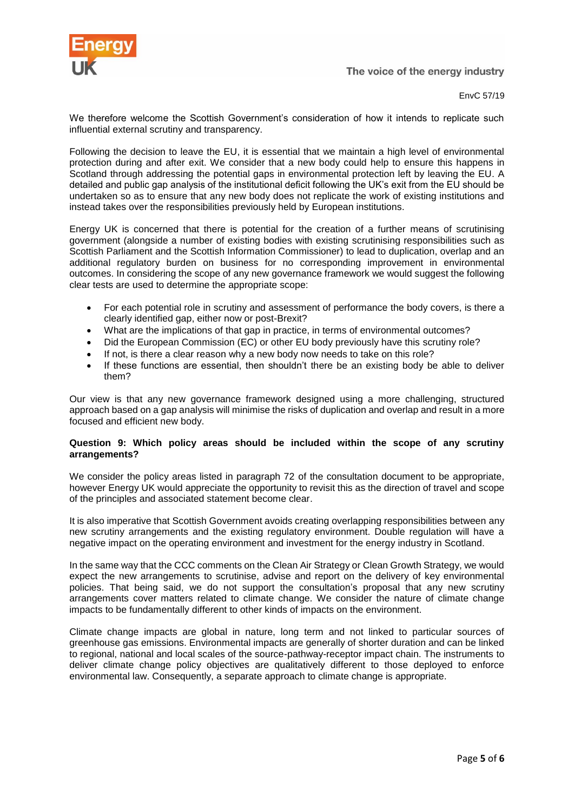

EnvC 57/19

We therefore welcome the Scottish Government's consideration of how it intends to replicate such influential external scrutiny and transparency.

Following the decision to leave the EU, it is essential that we maintain a high level of environmental protection during and after exit. We consider that a new body could help to ensure this happens in Scotland through addressing the potential gaps in environmental protection left by leaving the EU. A detailed and public gap analysis of the institutional deficit following the UK's exit from the EU should be undertaken so as to ensure that any new body does not replicate the work of existing institutions and instead takes over the responsibilities previously held by European institutions.

Energy UK is concerned that there is potential for the creation of a further means of scrutinising government (alongside a number of existing bodies with existing scrutinising responsibilities such as Scottish Parliament and the Scottish Information Commissioner) to lead to duplication, overlap and an additional regulatory burden on business for no corresponding improvement in environmental outcomes. In considering the scope of any new governance framework we would suggest the following clear tests are used to determine the appropriate scope:

- For each potential role in scrutiny and assessment of performance the body covers, is there a clearly identified gap, either now or post-Brexit?
- What are the implications of that gap in practice, in terms of environmental outcomes?
- Did the European Commission (EC) or other EU body previously have this scrutiny role?
- If not, is there a clear reason why a new body now needs to take on this role?
- If these functions are essential, then shouldn't there be an existing body be able to deliver them?

Our view is that any new governance framework designed using a more challenging, structured approach based on a gap analysis will minimise the risks of duplication and overlap and result in a more focused and efficient new body.

#### **Question 9: Which policy areas should be included within the scope of any scrutiny arrangements?**

We consider the policy areas listed in paragraph 72 of the consultation document to be appropriate, however Energy UK would appreciate the opportunity to revisit this as the direction of travel and scope of the principles and associated statement become clear.

It is also imperative that Scottish Government avoids creating overlapping responsibilities between any new scrutiny arrangements and the existing regulatory environment. Double regulation will have a negative impact on the operating environment and investment for the energy industry in Scotland.

In the same way that the CCC comments on the Clean Air Strategy or Clean Growth Strategy, we would expect the new arrangements to scrutinise, advise and report on the delivery of key environmental policies. That being said, we do not support the consultation's proposal that any new scrutiny arrangements cover matters related to climate change. We consider the nature of climate change impacts to be fundamentally different to other kinds of impacts on the environment.

Climate change impacts are global in nature, long term and not linked to particular sources of greenhouse gas emissions. Environmental impacts are generally of shorter duration and can be linked to regional, national and local scales of the source-pathway-receptor impact chain. The instruments to deliver climate change policy objectives are qualitatively different to those deployed to enforce environmental law. Consequently, a separate approach to climate change is appropriate.